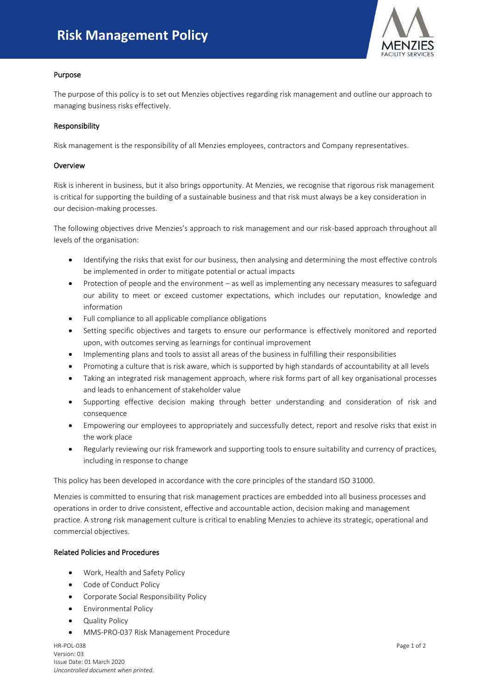# **Risk Management Policy**



## Purpose

The purpose of this policy is to set out Menzies objectives regarding risk management and outline our approach to managing business risks effectively.

### Responsibility

Risk management is the responsibility of all Menzies employees, contractors and Company representatives.

#### **Overview**

Risk is inherent in business, but it also brings opportunity. At Menzies, we recognise that rigorous risk management is critical for supporting the building of a sustainable business and that risk must always be a key consideration in our decision-making processes.

The following objectives drive Menzies's approach to risk management and our risk-based approach throughout all levels of the organisation:

- Identifying the risks that exist for our business, then analysing and determining the most effective controls be implemented in order to mitigate potential or actual impacts
- Protection of people and the environment as well as implementing any necessary measures to safeguard our ability to meet or exceed customer expectations, which includes our reputation, knowledge and information
- Full compliance to all applicable compliance obligations
- Setting specific objectives and targets to ensure our performance is effectively monitored and reported upon, with outcomes serving as learnings for continual improvement
- Implementing plans and tools to assist all areas of the business in fulfilling their responsibilities
- Promoting a culture that is risk aware, which is supported by high standards of accountability at all levels
- Taking an integrated risk management approach, where risk forms part of all key organisational processes and leads to enhancement of stakeholder value
- Supporting effective decision making through better understanding and consideration of risk and consequence
- Empowering our employees to appropriately and successfully detect, report and resolve risks that exist in the work place
- Regularly reviewing our risk framework and supporting tools to ensure suitability and currency of practices, including in response to change

This policy has been developed in accordance with the core principles of the standard ISO 31000.

Menzies is committed to ensuring that risk management practices are embedded into all business processes and operations in order to drive consistent, effective and accountable action, decision making and management practice. A strong risk management culture is critical to enabling Menzies to achieve its strategic, operational and commercial objectives.

## Related Policies and Procedures

- Work, Health and Safety Policy
- Code of Conduct Policy
- Corporate Social Responsibility Policy
- Environmental Policy
- Quality Policy
- MMS-PRO-037 Risk Management Procedure